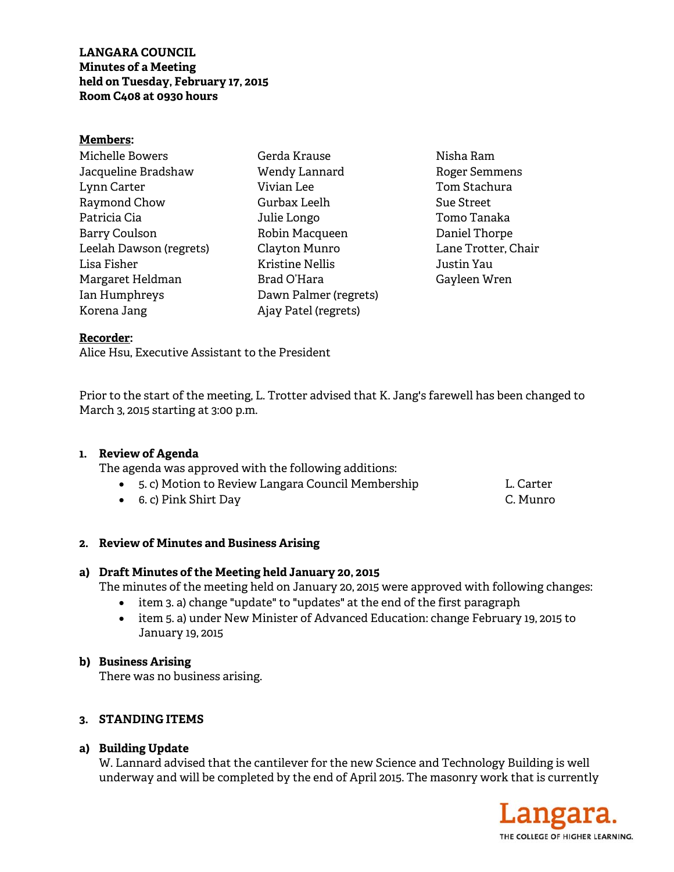**LANGARA COUNCIL Minutes of a Meeting held on Tuesday, February 17, 2015 Room C408 at 0930 hours** 

#### **Members:**

| Michelle Bowers         |
|-------------------------|
| Jacqueline Bradshaw     |
| Lynn Carter             |
| Raymond Chow            |
| Patricia Cia            |
| <b>Barry Coulson</b>    |
| Leelah Dawson (regrets) |
| Lisa Fisher             |
| Margaret Heldman        |
| Ian Humphreys           |
| Korena Jang             |

Gerda Krause Wendy Lannard Vivian Lee Gurbax Leelh Julie Longo Robin Macqueen Clayton Munro Kristine Nellis Brad O'Hara Dawn Palmer (regrets) Ajay Patel (regrets)

Nisha Ram Roger Semmens Tom Stachura Sue Street Tomo Tanaka Daniel Thorpe Lane Trotter, Chair Justin Yau Gayleen Wren

#### **Recorder:**

Alice Hsu, Executive Assistant to the President

Prior to the start of the meeting, L. Trotter advised that K. Jang's farewell has been changed to March 3, 2015 starting at 3:00 p.m.

### **1. Review of Agenda**

The agenda was approved with the following additions:

| 5. c) Motion to Review Langara Council Membership | L. Carter |
|---------------------------------------------------|-----------|
| • 6. c) Pink Shirt Day                            | C. Munro  |

### **2. Review of Minutes and Business Arising**

### **a) Draft Minutes of the Meeting held January 20, 2015**

The minutes of the meeting held on January 20, 2015 were approved with following changes:

- item 3. a) change "update" to "updates" at the end of the first paragraph
- item 5. a) under New Minister of Advanced Education: change February 19, 2015 to January 19, 2015

### **b) Business Arising**

There was no business arising.

### **3. STANDING ITEMS**

### **a) Building Update**

W. Lannard advised that the cantilever for the new Science and Technology Building is well underway and will be completed by the end of April 2015. The masonry work that is currently

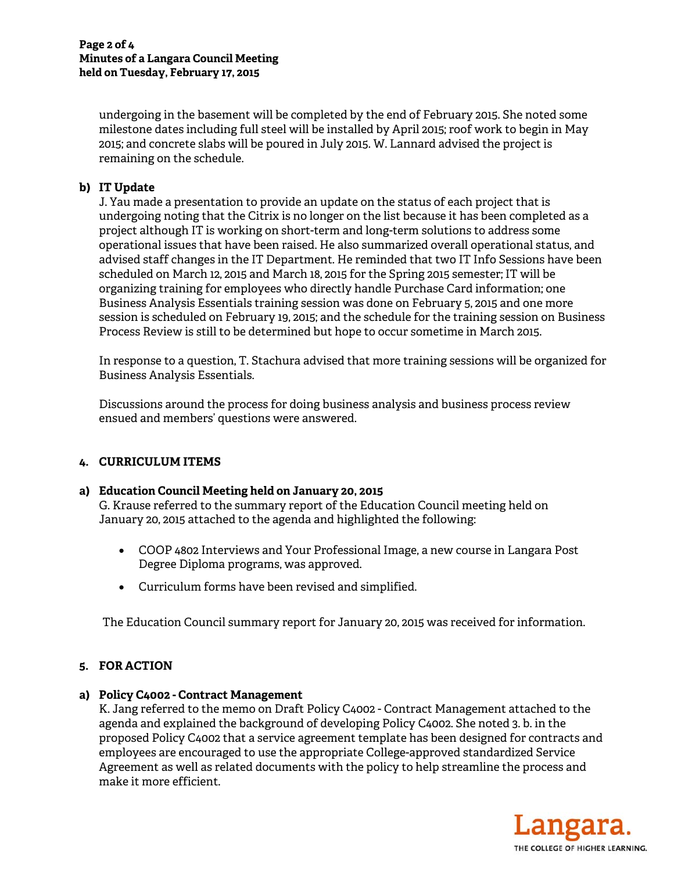undergoing in the basement will be completed by the end of February 2015. She noted some milestone dates including full steel will be installed by April 2015; roof work to begin in May 2015; and concrete slabs will be poured in July 2015. W. Lannard advised the project is remaining on the schedule.

## **b) IT Update**

J. Yau made a presentation to provide an update on the status of each project that is undergoing noting that the Citrix is no longer on the list because it has been completed as a project although IT is working on short-term and long-term solutions to address some operational issues that have been raised. He also summarized overall operational status, and advised staff changes in the IT Department. He reminded that two IT Info Sessions have been scheduled on March 12, 2015 and March 18, 2015 for the Spring 2015 semester; IT will be organizing training for employees who directly handle Purchase Card information; one Business Analysis Essentials training session was done on February 5, 2015 and one more session is scheduled on February 19, 2015; and the schedule for the training session on Business Process Review is still to be determined but hope to occur sometime in March 2015.

In response to a question, T. Stachura advised that more training sessions will be organized for Business Analysis Essentials.

Discussions around the process for doing business analysis and business process review ensued and members' questions were answered.

### **4. CURRICULUM ITEMS**

### **a) Education Council Meeting held on January 20, 2015**

G. Krause referred to the summary report of the Education Council meeting held on January 20, 2015 attached to the agenda and highlighted the following:

- COOP 4802 Interviews and Your Professional Image, a new course in Langara Post Degree Diploma programs, was approved.
- Curriculum forms have been revised and simplified.

The Education Council summary report for January 20, 2015 was received for information.

# **5. FOR ACTION**

# **a) Policy C4002 - Contract Management**

K. Jang referred to the memo on Draft Policy C4002 - Contract Management attached to the agenda and explained the background of developing Policy C4002. She noted 3. b. in the proposed Policy C4002 that a service agreement template has been designed for contracts and employees are encouraged to use the appropriate College-approved standardized Service Agreement as well as related documents with the policy to help streamline the process and make it more efficient.

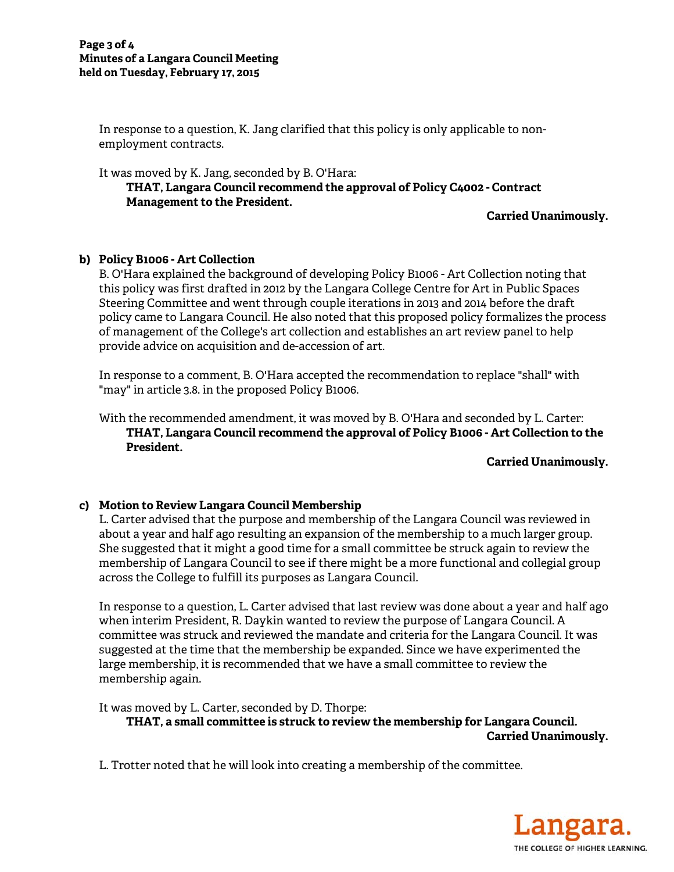In response to a question, K. Jang clarified that this policy is only applicable to nonemployment contracts.

It was moved by K. Jang, seconded by B. O'Hara:

**THAT, Langara Council recommend the approval of Policy C4002 - Contract Management to the President.** 

**Carried Unanimously.** 

### **b) Policy B1006 - Art Collection**

B. O'Hara explained the background of developing Policy B1006 - Art Collection noting that this policy was first drafted in 2012 by the Langara College Centre for Art in Public Spaces Steering Committee and went through couple iterations in 2013 and 2014 before the draft policy came to Langara Council. He also noted that this proposed policy formalizes the process of management of the College's art collection and establishes an art review panel to help provide advice on acquisition and de-accession of art.

In response to a comment, B. O'Hara accepted the recommendation to replace "shall" with "may" in article 3.8. in the proposed Policy B1006.

With the recommended amendment, it was moved by B. O'Hara and seconded by L. Carter: **THAT, Langara Council recommend the approval of Policy B1006 - Art Collection to the President.** 

**Carried Unanimously.** 

### **c) Motion to Review Langara Council Membership**

L. Carter advised that the purpose and membership of the Langara Council was reviewed in about a year and half ago resulting an expansion of the membership to a much larger group. She suggested that it might a good time for a small committee be struck again to review the membership of Langara Council to see if there might be a more functional and collegial group across the College to fulfill its purposes as Langara Council.

In response to a question, L. Carter advised that last review was done about a year and half ago when interim President, R. Daykin wanted to review the purpose of Langara Council. A committee was struck and reviewed the mandate and criteria for the Langara Council. It was suggested at the time that the membership be expanded. Since we have experimented the large membership, it is recommended that we have a small committee to review the membership again.

It was moved by L. Carter, seconded by D. Thorpe:

**THAT, a small committee is struck to review the membership for Langara Council. Carried Unanimously.** 

L. Trotter noted that he will look into creating a membership of the committee.